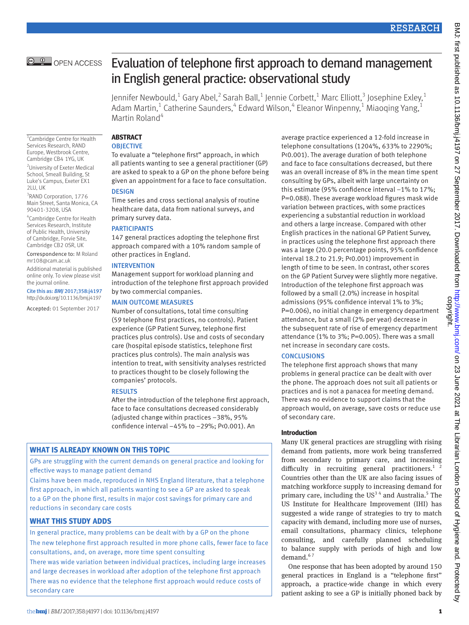# **C D** OPEN ACCESS

1 Cambridge Centre for Health Services Research, RAND Europe, Westbrook Centre, Cambridge CB4 1YG, UK 2 University of Exeter Medical School, Smeall Building, St Luke's Campus, Exeter EX1

<sup>3</sup>RAND Corporation, 1776 Main Street, Santa Monica, CA 90401-3208, USA 4 Cambridge Centre for Health Services Research, Institute of Public Health, University of Cambridge, Forvie Site, Cambridge CB2 0SR, UK Correspondence to: M Roland

mr108@cam.ac.uk

the journal online.

Additional material is published online only. To view please visit

Cite this as: *BMJ* 2017;358:j4197 http://dx.doi.org/10.1136/bmj.j4197 Accepted: 01 September 2017

2LU LIK

Evaluation of telephone first approach to demand management in English general practice: observational study

Jennifer Newbould,<sup>1</sup> Gary Abel,<sup>2</sup> Sarah Ball,<sup>1</sup> Jennie Corbett,<sup>1</sup> Marc Elliott,<sup>3</sup> Josephine Exley,<sup>1</sup> Adam Martin,<sup>1</sup> Catherine Saunders,<sup>4</sup> Edward Wilson,<sup>4</sup> Eleanor Winpenny,<sup>1</sup> Miaoqing Yang,<sup>1</sup> Martin Roland<sup>4</sup>

# **ABSTRACT**

# **OBJECTIVE**

To evaluate a "telephone first" approach, in which all patients wanting to see a general practitioner (GP) are asked to speak to a GP on the phone before being given an appointment for a face to face consultation.

## **DESIGN**

Time series and cross sectional analysis of routine healthcare data, data from national surveys, and primary survey data.

## PARTICIPANTS

147 general practices adopting the telephone first approach compared with a 10% random sample of other practices in England.

## INTERVENTION

Management support for workload planning and introduction of the telephone first approach provided by two commercial companies.

## MAIN OUTCOME MEASURES

Number of consultations, total time consulting (59 telephone first practices, no controls). Patient experience (GP Patient Survey, telephone first practices plus controls). Use and costs of secondary care (hospital episode statistics, telephone first practices plus controls). The main analysis was intention to treat, with sensitivity analyses restricted to practices thought to be closely following the companies' protocols.

# RESULTS

After the introduction of the telephone first approach, face to face consultations decreased considerably (adjusted change within practices −38%, 95% confidence interval −45% to −29%; P<0.001). An

# **What is already known on this topic**

GPs are struggling with the current demands on general practice and looking for effective ways to manage patient demand

Claims have been made, reproduced in NHS England literature, that a telephone first approach, in which all patients wanting to see a GP are asked to speak to a GP on the phone first, results in major cost savings for primary care and reductions in secondary care costs

# **What this study adds**

In general practice, many problems can be dealt with by a GP on the phone The new telephone first approach resulted in more phone calls, fewer face to face

consultations, and, on average, more time spent consulting

There was wide variation between individual practices, including large increases and large decreases in workload after adoption of the telephone first approach There was no evidence that the telephone first approach would reduce costs of secondary care

# **Introduction**

of secondary care.

**CONCLUSIONS** 

net increase in secondary care costs.

The telephone first approach shows that many problems in general practice can be dealt with over the phone. The approach does not suit all patients or practices and is not a panacea for meeting demand. There was no evidence to support claims that the approach would, on average, save costs or reduce use

Many UK general practices are struggling with rising demand from patients, more work being transferred from secondary to primary care, and increasing difficulty in recruiting general practitioners.<sup>1</sup> <sup>2</sup> Countries other than the UK are also facing issues of matching workforce supply to increasing demand for primary care, including the US<sup>34</sup> and Australia.<sup>5</sup> The US Institute for Healthcare Improvement (IHI) has suggested a wide range of strategies to try to match capacity with demand, including more use of nurses, email consultations, pharmacy clinics, telephone consulting, and carefully planned scheduling to balance supply with periods of high and low demand.<sup>67</sup>

average practice experienced a 12-fold increase in telephone consultations (1204%, 633% to 2290%; P<0.001). The average duration of both telephone and face to face consultations decreased, but there was an overall increase of 8% in the mean time spent consulting by GPs, albeit with large uncertainty on this estimate (95% confidence interval −1% to 17%; P=0.088). These average workload figures mask wide variation between practices, with some practices experiencing a substantial reduction in workload and others a large increase. Compared with other English practices in the national GP Patient Survey, in practices using the telephone first approach there was a large (20.0 percentage points, 95% confidence interval 18.2 to 21.9; P<0.001) improvement in length of time to be seen. In contrast, other scores on the GP Patient Survey were slightly more negative. Introduction of the telephone first approach was followed by a small (2.0%) increase in hospital admissions (95% confidence interval 1% to 3%; P=0.006), no initial change in emergency department attendance, but a small (2% per year) decrease in the subsequent rate of rise of emergency department attendance (1% to 3%; P=0.005). There was a small

One response that has been adopted by around 150 general practices in England is a "telephone first" approach, a practice-wide change in which every patient asking to see a GP is initially phoned back by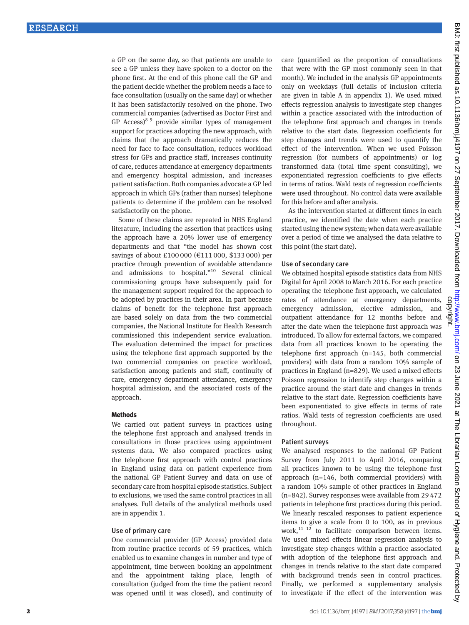a GP on the same day, so that patients are unable to see a GP unless they have spoken to a doctor on the phone first. At the end of this phone call the GP and the patient decide whether the problem needs a face to face consultation (usually on the same day) or whether it has been satisfactorily resolved on the phone. Two commercial companies (advertised as Doctor First and GP Access)<sup>8,9</sup> provide similar types of management support for practices adopting the new approach, with claims that the approach dramatically reduces the need for face to face consultation, reduces workload stress for GPs and practice staff, increases continuity of care, reduces attendance at emergency departments and emergency hospital admission, and increases patient satisfaction. Both companies advocate a GP led approach in which GPs (rather than nurses) telephone patients to determine if the problem can be resolved satisfactorily on the phone.

Some of these claims are repeated in NHS England literature, including the assertion that practices using the approach have a 20% lower use of emergency departments and that "the model has shown cost savings of about £100 000 (€111 000, \$133 000) per practice through prevention of avoidable attendance and admissions to hospital."10 Several clinical commissioning groups have subsequently paid for the management support required for the approach to be adopted by practices in their area. In part because claims of benefit for the telephone first approach are based solely on data from the two commercial companies, the National Institute for Health Research commissioned this independent service evaluation. The evaluation determined the impact for practices using the telephone first approach supported by the two commercial companies on practice workload, satisfaction among patients and staff, continuity of care, emergency department attendance, emergency hospital admission, and the associated costs of the approach.

#### **Methods**

We carried out patient surveys in practices using the telephone first approach and analysed trends in consultations in those practices using appointment systems data. We also compared practices using the telephone first approach with control practices in England using data on patient experience from the national GP Patient Survey and data on use of secondary care from hospital episode statistics. Subject to exclusions, we used the same control practices in all analyses. Full details of the analytical methods used are in appendix 1.

### Use of primary care

One commercial provider (GP Access) provided data from routine practice records of 59 practices, which enabled us to examine changes in number and type of appointment, time between booking an appointment and the appointment taking place, length of consultation (judged from the time the patient record was opened until it was closed), and continuity of

care (quantified as the proportion of consultations that were with the GP most commonly seen in that month). We included in the analysis GP appointments only on weekdays (full details of inclusion criteria are given in table A in appendix 1). We used mixed effects regression analysis to investigate step changes within a practice associated with the introduction of the telephone first approach and changes in trends relative to the start date. Regression coefficients for step changes and trends were used to quantify the effect of the intervention. When we used Poisson regression (for numbers of appointments) or log transformed data (total time spent consulting), we exponentiated regression coefficients to give effects in terms of ratios. Wald tests of regression coefficients were used throughout. No control data were available for this before and after analysis.

As the intervention started at different times in each practice, we identified the date when each practice started using the new system; when data were available over a period of time we analysed the data relative to this point (the start date).

#### Use of secondary care

We obtained hospital episode statistics data from NHS Digital for April 2008 to March 2016. For each practice operating the telephone first approach, we calculated rates of attendance at emergency departments, emergency admission, elective admission, and outpatient attendance for 12 months before and after the date when the telephone first approach was introduced. To allow for external factors, we compared data from all practices known to be operating the telephone first approach (n=145, both commercial providers) with data from a random 10% sample of practices in England (n=829). We used a mixed effects Poisson regression to identify step changes within a practice around the start date and changes in trends relative to the start date. Regression coefficients have been exponentiated to give effects in terms of rate ratios. Wald tests of regression coefficients are used throughout.

## Patient surveys

We analysed responses to the national GP Patient Survey from July 2011 to April 2016, comparing all practices known to be using the telephone first approach (n=146, both commercial providers) with a random 10% sample of other practices in England (n=842). Survey responses were available from 29 472 patients in telephone first practices during this period. We linearly rescaled responses to patient experience items to give a scale from 0 to 100, as in previous work, $11$ <sup>12</sup> to facilitate comparison between items. We used mixed effects linear regression analysis to investigate step changes within a practice associated with adoption of the telephone first approach and changes in trends relative to the start date compared with background trends seen in control practices. Finally, we performed a supplementary analysis to investigate if the effect of the intervention was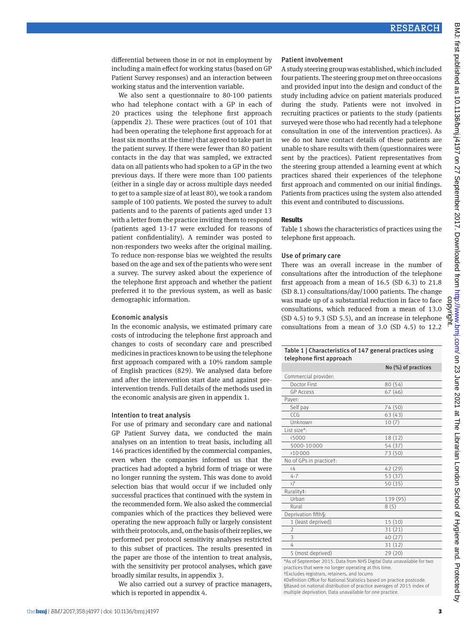differential between those in or not in employment by including a main effect for working status (based on GP Patient Survey responses) and an interaction between working status and the intervention variable.

We also sent a questionnaire to 80-100 patients who had telephone contact with a GP in each of 20 practices using the telephone first approach (appendix 2). These were practices (out of 101 that had been operating the telephone first approach for at least six months at the time) that agreed to take part in the patient survey. If there were fewer than 80 patient contacts in the day that was sampled, we extracted data on all patients who had spoken to a GP in the two previous days. If there were more than 100 patients (either in a single day or across multiple days needed to get to a sample size of at least 80), we took a random sample of 100 patients. We posted the survey to adult patients and to the parents of patients aged under 13 with a letter from the practice inviting them to respond (patients aged 13-17 were excluded for reasons of patient confidentiality). A reminder was posted to non-responders two weeks after the original mailing. To reduce non-response bias we weighted the results based on the age and sex of the patients who were sent a survey. The survey asked about the experience of the telephone first approach and whether the patient preferred it to the previous system, as well as basic demographic information.

#### Economic analysis

In the economic analysis, we estimated primary care costs of introducing the telephone first approach and changes to costs of secondary care and prescribed medicines in practices known to be using the telephone first approach compared with a 10% random sample of English practices (829). We analysed data before and after the intervention start date and against preintervention trends. Full details of the methods used in the economic analysis are given in appendix 1.

#### Intention to treat analysis

For use of primary and secondary care and national GP Patient Survey data, we conducted the main analyses on an intention to treat basis, including all 146 practices identified by the commercial companies, even when the companies informed us that the practices had adopted a hybrid form of triage or were no longer running the system. This was done to avoid selection bias that would occur if we included only successful practices that continued with the system in the recommended form. We also asked the commercial companies which of the practices they believed were operating the new approach fully or largely consistent with their protocols, and, on the basis of their replies, we performed per protocol sensitivity analyses restricted to this subset of practices. The results presented in the paper are those of the intention to treat analysis, with the sensitivity per protocol analyses, which gave broadly similar results, in appendix 3.

We also carried out a survey of practice managers, which is reported in appendix 4.

#### Patient involvement

A study steering group was established, which included four patients. The steering group met on three occasions and provided input into the design and conduct of the study including advice on patient materials produced during the study. Patients were not involved in recruiting practices or patients to the study (patients surveyed were those who had recently had a telephone consultation in one of the intervention practices). As we do not have contact details of these patients are unable to share results with them (questionnaires were sent by the practices). Patient representatives from the steering group attended a learning event at which practices shared their experiences of the telephone first approach and commented on our initial findings. Patients from practices using the system also attended this event and contributed to discussions.

#### **Results**

Table 1 shows the characteristics of practices using the telephone first approach.

### Use of primary care

There was an overall increase in the number of consultations after the introduction of the telephone first approach from a mean of 16.5 (SD 6.3) to 21.8 (SD 8.1) consultations/day/1000 patients. The change was made up of a substantial reduction in face to face consultations, which reduced from a mean of 13.0 (SD 4.5) to 9.3 (SD 5.5), and an increase in telephone consultations from a mean of 3.0 (SD 4.5) to 12.2

| Table 1   Characteristics of 147 general practices using<br>telephone first approach |                     |  |  |  |
|--------------------------------------------------------------------------------------|---------------------|--|--|--|
|                                                                                      | No (%) of practices |  |  |  |
| Commercial provider:                                                                 |                     |  |  |  |
| Doctor First                                                                         | 80(54)              |  |  |  |
| <b>GP Access</b>                                                                     | 67(46)              |  |  |  |
| Payer:                                                                               |                     |  |  |  |
| Self pay                                                                             | 74 (50)             |  |  |  |
| CCG                                                                                  | 63(43)              |  |  |  |
| Unknown                                                                              | 10(7)               |  |  |  |
| List size*:                                                                          |                     |  |  |  |
| <5000                                                                                | 18 (12)             |  |  |  |
| 5000-10000                                                                           | 54 (37)             |  |  |  |
| >10000                                                                               | 73 (50)             |  |  |  |
| No of GPs in practicet:                                                              |                     |  |  |  |
| $\langle \Delta$                                                                     | 42 (29)             |  |  |  |
| $4 - 7$                                                                              | 53 (37)             |  |  |  |
| 27                                                                                   | 50 (35)             |  |  |  |
| Rurality#:                                                                           |                     |  |  |  |
| Urban                                                                                | 139 (95)            |  |  |  |
| Rural                                                                                | 8(5)                |  |  |  |
| Deprivation fifth§:                                                                  |                     |  |  |  |
| 1 (least deprived)                                                                   | 15(10)              |  |  |  |
| $\overline{\phantom{a}}$                                                             | 31(21)              |  |  |  |
| 3                                                                                    | 40(27)              |  |  |  |
| 4                                                                                    | 31(12)              |  |  |  |
| 5 (most deprived)                                                                    | 29(20)              |  |  |  |
| *As of September 2015. Data from NHS Digital Data unavailable for two                |                     |  |  |  |

practices that were no longer operating at this time. †Excludes registrars, retainers, and locums

‡Definition Office for National Statistics based on practice postcode. §Based on national distribution of practice averages of 2015 index of multiple deprivation. Data unavailable for one practice.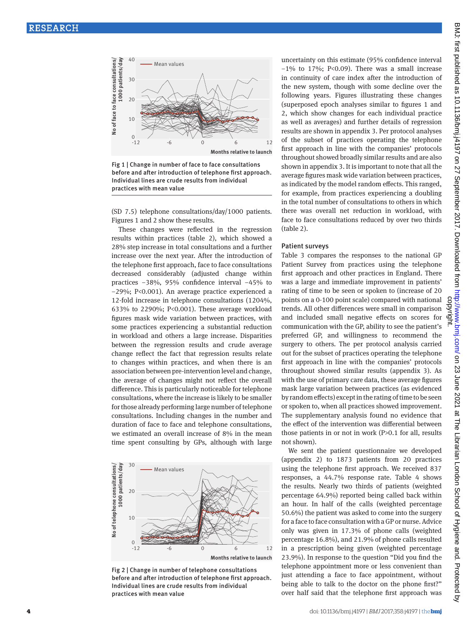

Fig 1 | Change in number of face to face consultations before and after introduction of telephone first approach. Individual lines are crude results from individual practices with mean value

(SD 7.5) telephone consultations/day/1000 patients. Figures 1 and 2 show these results.

These changes were reflected in the regression results within practices (table 2), which showed a 28% step increase in total consultations and a further increase over the next year. After the introduction of the telephone first approach, face to face consultations decreased considerably (adjusted change within practices −38%, 95% confidence interval −45% to −29%; P<0.001). An average practice experienced a 12-fold increase in telephone consultations (1204%, 633% to 2290%; P<0.001). These average workload figures mask wide variation between practices, with some practices experiencing a substantial reduction in workload and others a large increase. Disparities between the regression results and crude average change reflect the fact that regression results relate to changes within practices, and when there is an association between pre-intervention level and change, the average of changes might not reflect the overall difference. This is particularly noticeable for telephone consultations, where the increase is likely to be smaller for those already performing large number of telephone consultations. Including changes in the number and duration of face to face and telephone consultations, we estimated an overall increase of 8% in the mean time spent consulting by GPs, although with large



Fig 2 | Change in number of telephone consultations before and after introduction of telephone first approach. Individual lines are crude results from individual practices with mean value

uncertainty on this estimate (95% confidence interval −1% to 17%; P<0.09). There was a small increase in continuity of care index after the introduction of the new system, though with some decline over the following years. Figures illustrating these changes (superposed epoch analyses similar to figures 1 and 2, which show changes for each individual practice as well as averages) and further details of regression results are shown in appendix 3. Per protocol analyses of the subset of practices operating the telephone first approach in line with the companies' protocols throughout showed broadly similar results and are also shown in appendix 3. It is important to note that all the average figures mask wide variation between practices, as indicated by the model random effects. This ranged, for example, from practices experiencing a doubling in the total number of consultations to others in which there was overall net reduction in workload, with face to face consultations reduced by over two thirds (table 2).

## Patient surveys

Table 3 compares the responses to the national GP Patient Survey from practices using the telephone first approach and other practices in England. There was a large and immediate improvement in patients' rating of time to be seen or spoken to (increase of 20 points on a 0-100 point scale) compared with national trends. All other differences were small in comparison and included small negative effects on scores for communication with the GP, ability to see the patient's preferred GP, and willingness to recommend the surgery to others. The per protocol analysis carried out for the subset of practices operating the telephone first approach in line with the companies' protocols throughout showed similar results (appendix 3). As with the use of primary care data, these average figures mask large variation between practices (as evidenced by random effects) except in the rating of time to be seen or spoken to, when all practices showed improvement. The supplementary analysis found no evidence that the effect of the intervention was differential between those patients in or not in work (P>0.1 for all, results not shown).

We sent the patient questionnaire we developed (appendix 2) to 1873 patients from 20 practices using the telephone first approach. We received 837 responses, a 44.7% response rate. Table 4 shows the results. Nearly two thirds of patients (weighted percentage 64.9%) reported being called back within an hour. In half of the calls (weighted percentage 50.6%) the patient was asked to come into the surgery for a face to face consultation with a GP or nurse. Advice only was given in 17.3% of phone calls (weighted percentage 16.8%), and 21.9% of phone calls resulted in a prescription being given (weighted percentage 23.9%). In response to the question "Did you find the telephone appointment more or less convenient than just attending a face to face appointment, without being able to talk to the doctor on the phone first?" over half said that the telephone first approach was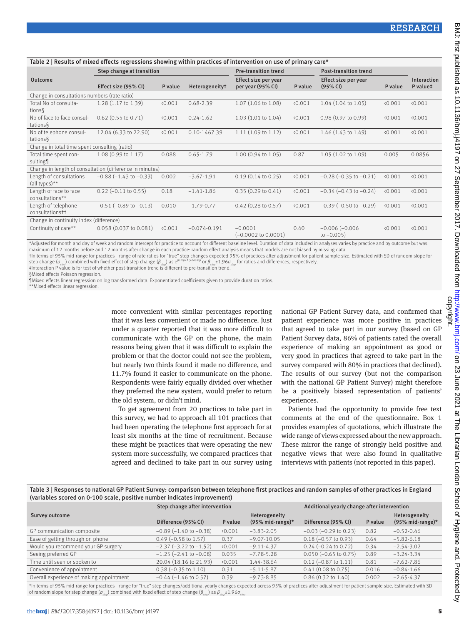|                                                    | Table 2   Results of mixed effects regressions showing within practices of intervention on use of primary care* |         |                  |                                           |         |                                   |         |                         |
|----------------------------------------------------|-----------------------------------------------------------------------------------------------------------------|---------|------------------|-------------------------------------------|---------|-----------------------------------|---------|-------------------------|
|                                                    | Step change at transition                                                                                       |         |                  | <b>Pre-transition trend</b>               |         | <b>Post-transition trend</b>      |         |                         |
| Outcome                                            | Effect size (95% CI)                                                                                            | P value | Heterogeneityt   | Effect size per year<br>per year (95% CI) | P value | Effect size per year<br>(95% CI)  | P value | Interaction<br>P value# |
| Change in consultations numbers (rate ratio)       |                                                                                                                 |         |                  |                                           |         |                                   |         |                         |
| Total No of consulta-<br>tions§                    | 1.28 (1.17 to 1.39)                                                                                             | 0.001   | $0.68 - 2.39$    | 1.07 (1.06 to 1.08)                       | 0.001   | 1.04 (1.04 to 1.05)               | 0.001   | (0.001)                 |
| No of face to face consul-<br>tations§             | $0.62$ (0.55 to 0.71)                                                                                           | 0.001   | $0.24 - 1.62$    | 1.03(1.01 to 1.04)                        | (0.001) | $0.98(0.97 \text{ to } 0.99)$     | 0.001   | (0.001)                 |
| No of telephone consul-<br>tations§                | 12.04 (6.33 to 22.90)                                                                                           | 0.001   | 0.10-1467.39     | 1.11(1.09 to 1.12)                        | 0.001   | $1.46(1.43 \text{ to } 1.49)$     | 0.001   | 0.001                   |
| Change in total time spent consulting (ratio)      |                                                                                                                 |         |                  |                                           |         |                                   |         |                         |
| Total time spent con-<br>sulting                   | 1.08 (0.99 to 1.17)                                                                                             | 0.088   | $0.65 - 1.79$    | $1.00(0.94 \text{ to } 1.05)$             | 0.87    | $1.05(1.02 \text{ to } 1.09)$     | 0.005   | 0.0856                  |
|                                                    | Change in length of consultation (difference in minutes)                                                        |         |                  |                                           |         |                                   |         |                         |
| Length of consultations<br>(all types) $**$        | $-0.88$ ( $-1.43$ to $-0.33$ )                                                                                  | 0.002   | $-3.67 - 1.91$   | $0.19(0.14 \text{ to } 0.25)$             | 0.001   | $-0.28$ ( $-0.35$ to $-0.21$ )    | 0.001   | 0.001                   |
| Length of face to face<br>consultations**          | $0.22$ (-0.11 to 0.55)                                                                                          | 0.18    | $-1.41 - 1.86$   | 0.35(0.29 to 0.41)                        | 0.001   | $-0.34$ ( $-0.43$ to $-0.24$ )    | 0.001   | 0.001                   |
| Length of telephone<br>consultations <sup>++</sup> | $-0.51$ ( $-0.89$ to $-0.13$ )                                                                                  | 0.010   | $-1.79 - 0.77$   | $0.42$ (0.28 to 0.57)                     | 0.001   | $-0.39$ ( $-0.50$ to $-0.29$ )    | 0.001   | 0.001                   |
| Change in continuity index (difference)            |                                                                                                                 |         |                  |                                           |         |                                   |         |                         |
| Continuity of care**                               | 0.058 (0.037 to 0.081)                                                                                          | 0.001   | $-0.074 - 0.191$ | $-0.0001$<br>(–0.0002 to 0.0001)          | 0.40    | $-0.006(-0.006)$<br>to $-0.005$ ) | 0.001   | 0.001                   |

\*Adjusted for month and day of week and random intercept for practice to account for different baseline level. Duration of data included in analyses varies by practice and by outcome but was maximum of 12 months before and 12 months after change in each practice: random effect analysis means that models are not biased by missing data.

†In terms of 95% mid-range for practices—range of rate ratios for "true" step changes expected 95% of practices after adjustment for patient sample size. Estimated with SD of random slope for<br>step change (σ<sub>siep</sub>) combine

‡Interaction P value is for test of whether post-transition trend is different to pre-transition trend.

§Mixed effects Poisson regression.

¶Mixed effects linear regression on log transformed data. Exponentiated coefficients given to provide duration ratios.

\*\*Mixed effects linear regression.

more convenient with similar percentages reporting that it was less convenient or made no difference. Just under a quarter reported that it was more difficult to communicate with the GP on the phone, the main reasons being given that it was difficult to explain the problem or that the doctor could not see the problem, but nearly two thirds found it made no difference, and 11.7% found it easier to communicate on the phone. Respondents were fairly equally divided over whether they preferred the new system, would prefer to return the old system, or didn't mind.

To get agreement from 20 practices to take part in this survey, we had to approach all 101 practices that had been operating the telephone first approach for at least six months at the time of recruitment. Because these might be practices that were operating the new system more successfully, we compared practices that agreed and declined to take part in our survey using national GP Patient Survey data, and confirmed that patient experience was more positive in practices that agreed to take part in our survey (based on GP Patient Survey data, 86% of patients rated the overall experience of making an appointment as good or very good in practices that agreed to take part in the survey compared with 80% in practices that declined). The results of our survey (but not the comparison with the national GP Patient Survey) might therefore be a positively biased representation of patients' experiences.

Patients had the opportunity to provide free text comments at the end of the questionnaire. Box 1 provides examples of quotations, which illustrate the wide range of views expressed about the new approach. These mirror the range of strongly held positive and negative views that were also found in qualitative interviews with patients (not reported in this paper).

Table 3 | Responses to national GP Patient Survey: comparison between telephone first practices and random samples of other practices in England (variables scored on 0-100 scale, positive number indicates improvement)

|                                          | Step change after intervention |         | Additional yearly change after intervention |                                 |         |                                     |
|------------------------------------------|--------------------------------|---------|---------------------------------------------|---------------------------------|---------|-------------------------------------|
| Survey outcome                           | Difference (95% CI)            | P value | Heterogeneity<br>$(95%$ mid-range)*         | Difference (95% CI)             | P value | Heterogeneity<br>$(95%$ mid-range)* |
| GP communication composite               | $-0.89$ ( $-1.40$ to $-0.38$ ) | (0.001) | $-3.83 - 2.05$                              | $-0.03$ ( $-0.29$ to 0.23)      | 0.82    | $-0.52 - 0.46$                      |
| Ease of getting through on phone         | $0.49$ (-0.58 to 1.57)         | 0.37    | $-9.07 - 10.05$                             | $0.18$ (-0.57 to 0.93)          | 0.64    | $-5.82 - 6.18$                      |
| Would you recommend your GP surgery      | $-2.37$ $(-3.22$ to $-1.52)$   | 0.001   | $-9.11 - 4.37$                              | $0.24 (-0.24 \text{ to } 0.72)$ | 0.34    | $-2.54 - 3.02$                      |
| Seeing preferred GP                      | $-1.25$ ( $-2.41$ to $-0.08$ ) | 0.035   | $-7.78 - 5.28$                              | $0.050 (-0.65$ to 0.75)         | 0.89    | $-3.24 - 3.34$                      |
| Time until seen or spoken to             | 20.04 (18.16 to 21.93)         | (0.001) | 1.44-38.64                                  | $0.12$ (-0.87 to 1.11)          | 0.81    | $-7.62 - 7.86$                      |
| Convenience of appointment               | $0.38$ (-0.35 to 1.10)         | 0.31    | $-5.11 - 5.87$                              | $0.41$ (0.08 to 0.75)           | 0.016   | $-0.84 - 1.66$                      |
| Overall experience of making appointment | $-0.44$ ( $-1.46$ to 0.57)     | 0.39    | $-9.73 - 8.85$                              | $0.86$ $(0.32$ to $1.40)$       | 0.002   | $-2.65 - 4.37$                      |

\*In terms of 95% mid-range for practices—range for "true" step changes/additional yearly changes expected across 95% of practices after adjustment for patient sample size. Estimated with SD of random slope for step change (*σstep*) combined with fixed effect of step change (*βstep*) as *βstep*±1.96*σstep*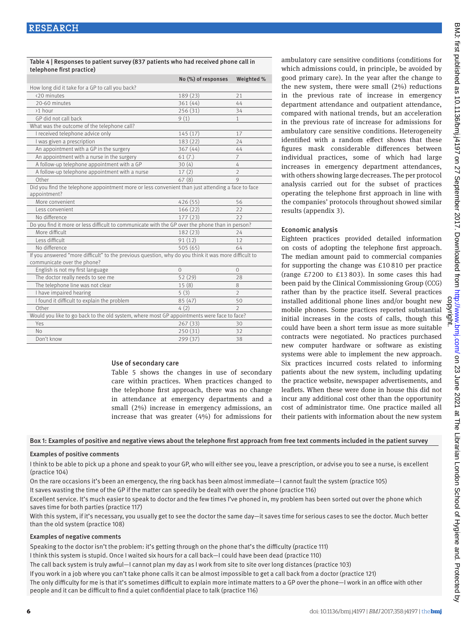### Table 4 | Responses to patient survey (837 patients who had received phone call in telephone first practice)

|                                                                                                                                     | No (%) of responses | Weighted %     |  |  |  |
|-------------------------------------------------------------------------------------------------------------------------------------|---------------------|----------------|--|--|--|
| How long did it take for a GP to call you back?                                                                                     |                     |                |  |  |  |
| <20 minutes                                                                                                                         | 189 (23)            | 21             |  |  |  |
| 20-60 minutes                                                                                                                       | 361 (44)            | 44             |  |  |  |
| >1 hour                                                                                                                             | 256 (31)            | 34             |  |  |  |
| GP did not call back                                                                                                                | 9(1)                | $\mathbf{1}$   |  |  |  |
| What was the outcome of the telephone call?                                                                                         |                     |                |  |  |  |
| I received telephone advice only                                                                                                    | 145(17)             | 17             |  |  |  |
| I was given a prescription                                                                                                          | 183 (22)            | 24             |  |  |  |
| An appointment with a GP in the surgery                                                                                             | 367(44)             | 44             |  |  |  |
| An appointment with a nurse in the surgery                                                                                          | 61(7.)              | $\overline{7}$ |  |  |  |
| A follow-up telephone appointment with a GP                                                                                         | 30(4)               | 4              |  |  |  |
| A follow-up telephone appointment with a nurse                                                                                      | 17(2)               | $\mathfrak{D}$ |  |  |  |
| Other                                                                                                                               | 67(8)               | 9              |  |  |  |
| Did you find the telephone appointment more or less convenient than just attending a face to face                                   |                     |                |  |  |  |
| appointment?                                                                                                                        |                     |                |  |  |  |
| More convenient                                                                                                                     | 426 (55)            | 56             |  |  |  |
| Less convenient                                                                                                                     | 166(22)             | 22             |  |  |  |
| No difference                                                                                                                       | 177(23)             | 22             |  |  |  |
| Do you find it more or less difficult to communicate with the GP over the phone than in person?                                     |                     |                |  |  |  |
| More difficult                                                                                                                      | 182 (23)            | 24             |  |  |  |
| Less difficult                                                                                                                      | 91 (12)             | 12             |  |  |  |
| No difference                                                                                                                       | 505(65)             | 64             |  |  |  |
| If you answered "more difficult" to the previous question, why do you think it was more difficult to<br>communicate over the phone? |                     |                |  |  |  |
| English is not my first language                                                                                                    | $\Omega$            | $\mathbf{O}$   |  |  |  |
| The doctor really needs to see me                                                                                                   | 52 (29)             | 28             |  |  |  |
| The telephone line was not clear                                                                                                    | 15(8)               | 8              |  |  |  |
| I have impaired hearing                                                                                                             | 5(3)                | $\mathfrak{D}$ |  |  |  |
| I found it difficult to explain the problem                                                                                         | 85(47)              | 50             |  |  |  |
| Other                                                                                                                               | 4(2)                | $\mathfrak{D}$ |  |  |  |
| Would you like to go back to the old system, where most GP appointments were face to face?                                          |                     |                |  |  |  |
| Yes                                                                                                                                 | 267(33)             | 30             |  |  |  |
| No                                                                                                                                  | 250(31)             | 32             |  |  |  |
| Don't know                                                                                                                          | 299 (37)            | 38             |  |  |  |

# Use of secondary care

Table 5 shows the changes in use of secondary care within practices. When practices changed to the telephone first approach, there was no change in attendance at emergency departments and a small (2%) increase in emergency admissions, an increase that was greater (4%) for admissions for

ambulatory care sensitive conditions (conditions for which admissions could, in principle, be avoided by good primary care). In the year after the change to the new system, there were small (2%) reductions in the previous rate of increase in emergency department attendance and outpatient attendance, compared with national trends, but an acceleration in the previous rate of increase for admissions for ambulatory care sensitive conditions. Heterogeneity identified with a random effect shows that these figures mask considerable differences between individual practices, some of which had large increases in emergency department attendances, with others showing large decreases. The per protocol analysis carried out for the subset of practices operating the telephone first approach in line with the companies' protocols throughout showed similar results (appendix 3).

# Economic analysis

Eighteen practices provided detailed information on costs of adopting the telephone first approach. The median amount paid to commercial companies for supporting the change was £10 810 per practice (range £7200 to £13 803). In some cases this had been paid by the Clinical Commissioning Group (CCG) rather than by the practice itself. Several practices installed additional phone lines and/or bought new mobile phones. Some practices reported substantial initial increases in the costs of calls, though this could have been a short term issue as more suitable contracts were negotiated. No practices purchased new computer hardware or software as existing systems were able to implement the new approach. Six practices incurred costs related to informing patients about the new system, including updating the practice website, newspaper advertisements, and leaflets. When these were done in house this did not incur any additional cost other than the opportunity cost of administrator time. One practice mailed all their patients with information about the new system

# Box 1: Examples of positive and negative views about the telephone first approach from free text comments included in the patient survey

## Examples of positive comments

I think to be able to pick up a phone and speak to your GP, who will either see you, leave a prescription, or advise you to see a nurse, is excellent (practice 104)

On the rare occasions it's been an emergency, the ring back has been almost immediate—I cannot fault the system (practice 105)

It saves wasting the time of the GP if the matter can speedily be dealt with over the phone (practice 116)

Excellent service. It's much easier to speak to doctor and the few times I've phoned in, my problem has been sorted out over the phone which saves time for both parties (practice 117)

With this system, if it's necessary, you usually get to see the doctor the same day—it saves time for serious cases to see the doctor. Much better than the old system (practice 108)

## Examples of negative comments

Speaking to the doctor isn't the problem: it's getting through on the phone that's the difficulty (practice 111)

I think this system is stupid. Once I waited six hours for a call back—I could have been dead (practice 110)

The call back system is truly awful—I cannot plan my day as I work from site to site over long distances (practice 103)

If you work in a job where you can't take phone calls it can be almost impossible to get a call back from a doctor (practice 121)

The only difficulty for me is that it's sometimes difficult to explain more intimate matters to a GP over the phone—I work in an office with other people and it can be difficult to find a quiet confidential place to talk (practice 116)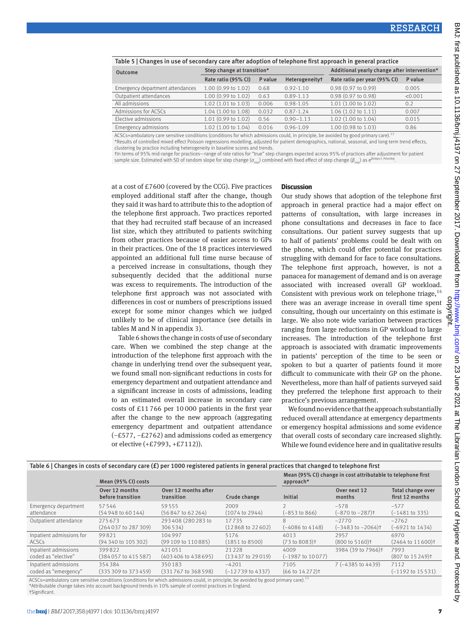| Table 5   Changes in use of secondary care after adoption of telephone first approach in general practice |         |                            |                                              |         |  |  |  |  |
|-----------------------------------------------------------------------------------------------------------|---------|----------------------------|----------------------------------------------|---------|--|--|--|--|
|                                                                                                           |         |                            | Additional yearly change after intervention* |         |  |  |  |  |
| Rate ratio (95% CI)                                                                                       | P value | Heterogeneityt             | Rate ratio per year (95% CI)                 | P value |  |  |  |  |
| 1.00 (0.99 to 1.02)                                                                                       | 0.68    | $0.92 - 1.10$              | 0.98 (0.97 to 0.99)                          | 0.005   |  |  |  |  |
| 1.00 (0.99 to 1.02)                                                                                       | 0.63    | $0.89 - 1.13$              | 0.98 (0.97 to 0.98)                          | < 0.001 |  |  |  |  |
| $1.02$ (1.01 to 1.03)                                                                                     | 0.006   | $0.98 - 1.05$              | 1.01 (1.00 to 1.02)                          | 0.2     |  |  |  |  |
| 1.04 (1.00 to 1.08)                                                                                       | 0.032   | $0.87 - 1.24$              | 1.06 (1.02 to 1.11)                          | 0.007   |  |  |  |  |
| 1.01 (0.99 to 1.02)                                                                                       | 0.56    | $0.90 - 1.13$              | $1.02$ (1.00 to 1.04)                        | 0.015   |  |  |  |  |
| $1.02$ (1.00 to 1.04)                                                                                     | 0.016   | $0.96 - 1.09$              | 1.00 (0.98 to 1.03)                          | 0.86    |  |  |  |  |
|                                                                                                           |         | Step change at transition* |                                              |         |  |  |  |  |

ACSCs=ambulatory care sensitive conditions (conditions for which admissions could, in principle, be avoided by good primary care).<sup>1</sup> \*Results of controlled mixed effect Poisson regressions modelling, adjusted for patient demographics, national, seasonal, and long term trend effects,

clustering by practice including heterogeneity in baseline scores and trends.

†In terms of 95% mid-range for practices—range of rate ratios for "true" step changes expected across 95% of practices after adjustment for patient sample size. Estimated with SD of random slope for step change (*σ<sub>repp</sub>*) combined with fixed effect of step change (*β<sub>rep</sub>*) as e<sup>*β*:</sup>

at a cost of £7600 (covered by the CCG). Five practices employed additional staff after the change, though they said it was hard to attribute this to the adoption of the telephone first approach. Two practices reported that they had recruited staff because of an increased list size, which they attributed to patients switching from other practices because of easier access to GPs in their practices. One of the 18 practices interviewed appointed an additional full time nurse because of a perceived increase in consultations, though they subsequently decided that the additional nurse was excess to requirements. The introduction of the telephone first approach was not associated with differences in cost or numbers of prescriptions issued except for some minor changes which we judged unlikely to be of clinical importance (see details in tables M and N in appendix 3).

Table 6 shows the change in costs of use of secondary care. When we combined the step change at the introduction of the telephone first approach with the change in underlying trend over the subsequent year, we found small non-significant reductions in costs for emergency department and outpatient attendance and a significant increase in costs of admissions, leading to an estimated overall increase in secondary care costs of £11 766 per 10 000 patients in the first year after the change to the new approach (aggregating emergency department and outpatient attendance (−£577, −£2762) and admissions coded as emergency or elective (+£7993, +£7112)).

## **Discussion**

Our study shows that adoption of the telephone first approach in general practice had a major effect on patterns of consultation, with large increases in phone consultations and decreases in face to face consultations. Our patient survey suggests that up to half of patients' problems could be dealt with on the phone, which could offer potential for practices struggling with demand for face to face consultations. The telephone first approach, however, is not a panacea for management of demand and is on average associated with increased overall GP workload. Consistent with previous work on telephone triage,  $14$ there was an average increase in overall time spent consulting, though our uncertainty on this estimate is large. We also note wide variation between practices ranging from large reductions in GP workload to large increases. The introduction of the telephone first approach is associated with dramatic improvements in patients' perception of the time to be seen or spoken to but a quarter of patients found it more difficult to communicate with their GP on the phone. Nevertheless, more than half of patients surveyed said they preferred the telephone first approach to their practice's previous arrangement.

We found no evidence that the approach substantially reduced overall attendance at emergency departments or emergency hospital admissions and some evidence that overall costs of secondary care increased slightly. While we found evidence here and in qualitative results

| Table 6   Changes in costs of secondary care $(f)$ per 1000 registered patients in general practices that changed to telephone first |  |
|--------------------------------------------------------------------------------------------------------------------------------------|--|
|--------------------------------------------------------------------------------------------------------------------------------------|--|

|                          | Mean (95% CI) costs                 |                                    | Mean (95% CI) change in cost attributable to telephone first<br>approach* |                                               |                                        |                                         |
|--------------------------|-------------------------------------|------------------------------------|---------------------------------------------------------------------------|-----------------------------------------------|----------------------------------------|-----------------------------------------|
|                          | Over 12 months<br>before transition | Over 12 months after<br>transition | Crude change                                                              | <b>Initial</b>                                | Over next 12<br>months                 | Total change over<br>first 12 months    |
| Emergency department     | 57546                               | 59555                              | 2009                                                                      | (–853 to 866)                                 | $-578$                                 | $-577$                                  |
| attendance               | $(54948 \text{ to } 60144)$         | $(56847 \text{ to } 62264)$        | $(1074 \text{ to } 2944)$                                                 |                                               | $(-870 \text{ to } -287)$ <sup>+</sup> | $(-1481$ to 335)                        |
| Outpatient attendance    | 275673                              | 293 408 (280 283 to                | 17735                                                                     | 8                                             | $-2770$                                | $-2762$                                 |
|                          | $(264037$ to 287 309)               | 306534)                            | $(12868 \text{ to } 22602)$                                               | $(-4086 \text{ to } 4148)$                    | $(-3483$ to $-2064$ ) <sup>+</sup>     | $(-6921$ to $1434)$                     |
| Inpatient admissions for | 99821                               | 104997                             | 5176                                                                      | 4013                                          | 2957                                   | 6970                                    |
| ACSC <sub>S</sub>        | $(94340 \text{ to } 105302)$        | $(99109 \text{ to } 110885)$       | (1851 to 8500)                                                            | $(73 to 8083)$ <sup>+</sup>                   | $(800 to 5160)$ <sup>+</sup>           | $(2464 \text{ to } 11600)$ <sup>+</sup> |
| Inpatient admissions     | 399822                              | 421051                             | 21228                                                                     | 4009                                          | 3984 (39 to 7966) <sup>†</sup>         | 7993                                    |
| coded as "elective"      | (384 057 to 415 587)                | $(403406 \text{ to } 438695)$      | $(13437$ to 29019)                                                        | (-1987 to 10077)                              |                                        | (807 to 15 249) <sup>+</sup>            |
| Inpatient admissions     | 354384                              | 350183                             | $-4201$                                                                   | 7105                                          | $7(-4385$ to $4439)$                   | 7112                                    |
| coded as "emergency"     | $(335309 \text{ to } 373459)$       | $(331767$ to 368 598)              | $(-12739$ to 4337)                                                        | $(66 \text{ to } 14 \, 27 \, 2)$ <sup>+</sup> |                                        | $(-1192 \text{ to } 15531)$             |

ACSCs=ambulatory care sensitive conditions (conditions for which admissions could, in principle, be avoided by good primary care).<sup>13</sup> \*Attributable change takes into account background trends in 10% sample of control practices in England. †Significant.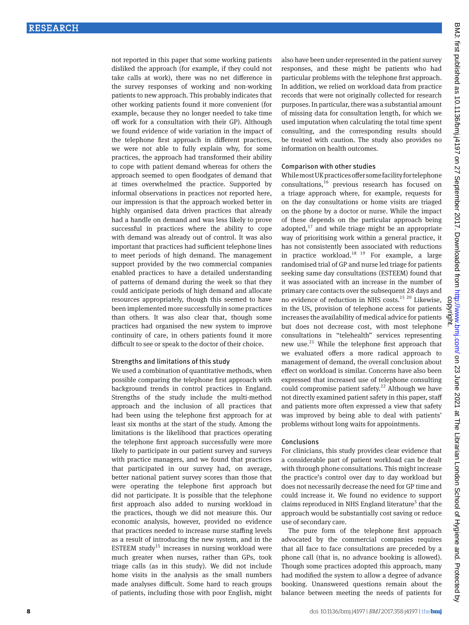not reported in this paper that some working patients disliked the approach (for example, if they could not take calls at work), there was no net difference in the survey responses of working and non-working patients to new approach. This probably indicates that other working patients found it more convenient (for example, because they no longer needed to take time off work for a consultation with their GP). Although we found evidence of wide variation in the impact of the telephone first approach in different practices, we were not able to fully explain why, for some practices, the approach had transformed their ability to cope with patient demand whereas for others the approach seemed to open floodgates of demand that at times overwhelmed the practice. Supported by informal observations in practices not reported here, our impression is that the approach worked better in highly organised data driven practices that already had a handle on demand and was less likely to prove successful in practices where the ability to cope with demand was already out of control. It was also important that practices had sufficient telephone lines to meet periods of high demand. The management support provided by the two commercial companies enabled practices to have a detailed understanding of patterns of demand during the week so that they could anticipate periods of high demand and allocate resources appropriately, though this seemed to have been implemented more successfully in some practices than others. It was also clear that, though some practices had organised the new system to improve continuity of care, in others patients found it more difficult to see or speak to the doctor of their choice.

## Strengths and limitations of this study

We used a combination of quantitative methods, when possible comparing the telephone first approach with background trends in control practices in England. Strengths of the study include the multi-method approach and the inclusion of all practices that had been using the telephone first approach for at least six months at the start of the study. Among the limitations is the likelihood that practices operating the telephone first approach successfully were more likely to participate in our patient survey and surveys with practice managers, and we found that practices that participated in our survey had, on average, better national patient survey scores than those that were operating the telephone first approach but did not participate. It is possible that the telephone first approach also added to nursing workload in the practices, though we did not measure this. Our economic analysis, however, provided no evidence that practices needed to increase nurse staffing levels as a result of introducing the new system, and in the ESTEEM study<sup>15</sup> increases in nursing workload were much greater when nurses, rather than GPs, took triage calls (as in this study). We did not include home visits in the analysis as the small numbers made analyses difficult. Some hard to reach groups of patients, including those with poor English, might also have been under-represented in the patient survey responses, and these might be patients who had particular problems with the telephone first approach. In addition, we relied on workload data from practice records that were not originally collected for research purposes. In particular, there was a substantial amount of missing data for consultation length, for which we used imputation when calculating the total time spent consulting, and the corresponding results should be treated with caution. The study also provides no information on health outcomes.

### Comparison with other studies

While most UK practices offer some facility for telephone consultations,16 previous research has focused on a triage approach where, for example, requests for on the day consultations or home visits are triaged on the phone by a doctor or nurse. While the impact of these depends on the particular approach being adopted, $17$  and while triage might be an appropriate way of prioritising work within a general practice, it has not consistently been associated with reductions in practice workload. $18^{19}$  For example, a large randomised trial of GP and nurse led triage for patients seeking same day consultations (ESTEEM) found that it was associated with an increase in the number of primary care contacts over the subsequent 28 days and no evidence of reduction in NHS costs.<sup>15 20</sup> Likewise. in the US, provision of telephone access for patients increases the availability of medical advice for patients but does not decrease cost, with most telephone consultations in "telehealth" services representing new use. $^{21}$  While the telephone first approach that we evaluated offers a more radical approach to management of demand, the overall conclusion about effect on workload is similar. Concerns have also been expressed that increased use of telephone consulting could compromise patient safety.<sup>22</sup> Although we have not directly examined patient safety in this paper, staff and patients more often expressed a view that safety was improved by being able to deal with patients' problems without long waits for appointments.

## Conclusions

For clinicians, this study provides clear evidence that a considerable part of patient workload can be dealt with through phone consultations. This might increase the practice's control over day to day workload but does not necessarily decrease the need for GP time and could increase it. We found no evidence to support claims reproduced in NHS England literature<sup>5</sup> that the approach would be substantially cost saving or reduce use of secondary care.

The pure form of the telephone first approach advocated by the commercial companies requires that all face to face consultations are preceded by a phone call (that is, no advance booking is allowed). Though some practices adopted this approach, many had modified the system to allow a degree of advance booking. Unanswered questions remain about the balance between meeting the needs of patients for